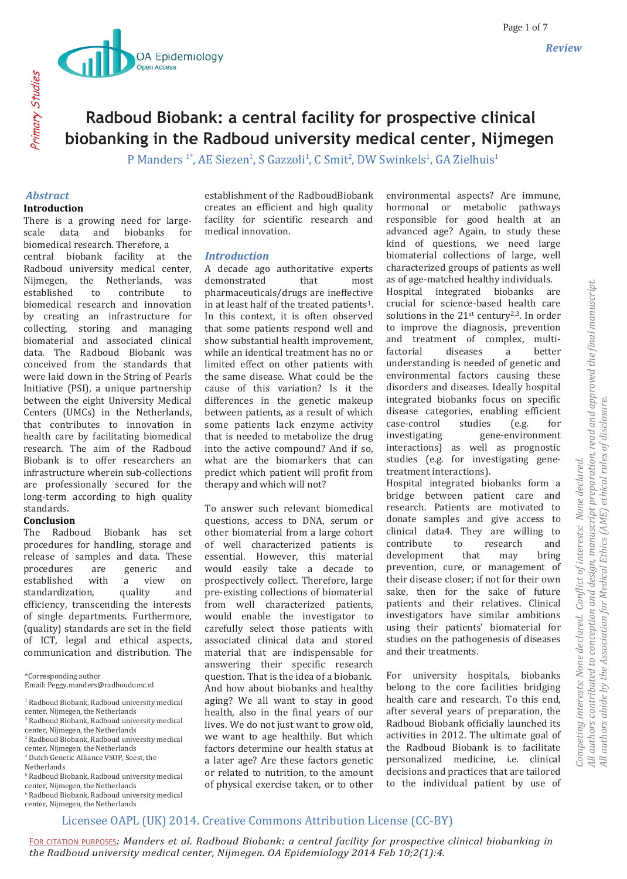

P Manders<sup>1</sup>\*, AE Siezen<sup>1</sup>, S Gazzoli<sup>1</sup>, C Smit<sup>2</sup>, DW Swinkels<sup>1</sup>, GA Zielhuis<sup>1</sup>

# *Abstract* **Introduction**

Primary Studies

Primary Studies

There is a growing need for largescale data and biobanks for biomedical research. Therefore, a central biobank facility at the Radboud university medical center, Nijmegen, the Netherlands, was established to contribute to biomedical research and innovation by creating an infrastructure for collecting, storing and managing biomaterial and associated clinical data. The Radboud Biobank was conceived from the standards that were laid down in the String of Pearls Initiative (PSI), a unique partnership between the eight University Medical Centers (UMCs) in the Netherlands, that contributes to innovation in health care by facilitating biomedical research. The aim of the Radboud Biobank is to offer researchers an infrastructure wherein sub-collections are professionally secured for the long-term according to high quality standards.

# **Conclusion**

The Radboud Biobank has set procedures for handling, storage and release of samples and data. These procedures are generic and established with a view on standardization, quality and efficiency, transcending the interests of single departments. Furthermore, (quality) standards are set in the field of ICT, legal and ethical aspects, communication and distribution. The

\*Corresponding author Email: Peggy.manders@radboudumc.nl

- <sup>1</sup> Radboud Biobank, Radboud university medical
- center, Nijmegen, the Netherlands
- <sup>2</sup> Radboud Biobank, Radboud university medical center, Nijmegen, the Netherlands
- <sup>3</sup> Radboud Biobank, Radboud university medical
- center, Nijmegen, the Netherlands
- <sup>4</sup> Dutch Genetic Alliance VSOP, Soest, the **Netherlands**
- <sup>5</sup> Radboud Biobank, Radboud university medical center, Nijmegen, the Netherlands
- <sup>6</sup> Radboud Biobank, Radboud university medical center, Nijmegen, the Netherlands

establishment of the RadboudBiobank creates an efficient and high quality facility for scientific research and medical innovation.

## *Introduction*

A decade ago authoritative experts demonstrated that most pharmaceuticals/drugs are ineffective in at least half of the treated patients<sup>1</sup>. In this context, it is often observed that some patients respond well and show substantial health improvement, while an identical treatment has no or limited effect on other patients with the same disease. What could be the cause of this variation? Is it the differences in the genetic makeup between patients, as a result of which some patients lack enzyme activity that is needed to metabolize the drug into the active compound? And if so, what are the biomarkers that can predict which patient will profit from therapy and which will not?

To answer such relevant biomedical questions, access to DNA, serum or other biomaterial from a large cohort of well characterized patients is essential. However, this material would easily take a decade to prospectively collect. Therefore, large pre-existing collections of biomaterial from well characterized patients, would enable the investigator to carefully select those patients with associated clinical data and stored material that are indispensable for answering their specific research question. That is the idea of a biobank. And how about biobanks and healthy aging? We all want to stay in good health, also in the final years of our lives. We do not just want to grow old, we want to age healthily. But which factors determine our health status at a later age? Are these factors genetic or related to nutrition, to the amount of physical exercise taken, or to other environmental aspects? Are immune, hormonal or metabolic pathways responsible for good health at an advanced age? Again, to study these kind of questions, we need large biomaterial collections of large, well characterized groups of patients as well as of age-matched healthy individuals.

Hospital integrated biobanks are crucial for science-based health care solutions in the  $21<sup>st</sup>$  century<sup>2,3</sup>. In order to improve the diagnosis, prevention and treatment of complex, multifactorial diseases a better understanding is needed of genetic and environmental factors causing these disorders and diseases. Ideally hospital integrated biobanks focus on specific disease categories, enabling efficient case-control studies (e.g. for investigating gene-environment interactions) as well as prognostic studies (e.g. for investigating genetreatment interactions).

Hospital integrated biobanks form a bridge between patient care and research. Patients are motivated to donate samples and give access to clinical data4. They are willing to contribute to research and development that may bring prevention, cure, or management of their disease closer; if not for their own sake, then for the sake of future patients and their relatives. Clinical investigators have similar ambitions using their patients' biomaterial for studies on the pathogenesis of diseases and their treatments.

For university hospitals, biobanks belong to the core facilities bridging health care and research. To this end, after several years of preparation, the Radboud Biobank officially launched its activities in 2012. The ultimate goal of the Radboud Biobank is to facilitate personalized medicine, i.e. clinical decisions and practices that are tailored to the individual patient by use of

# Licensee OAPL (UK) 2014. Creative Commons Attribution License (CC-BY)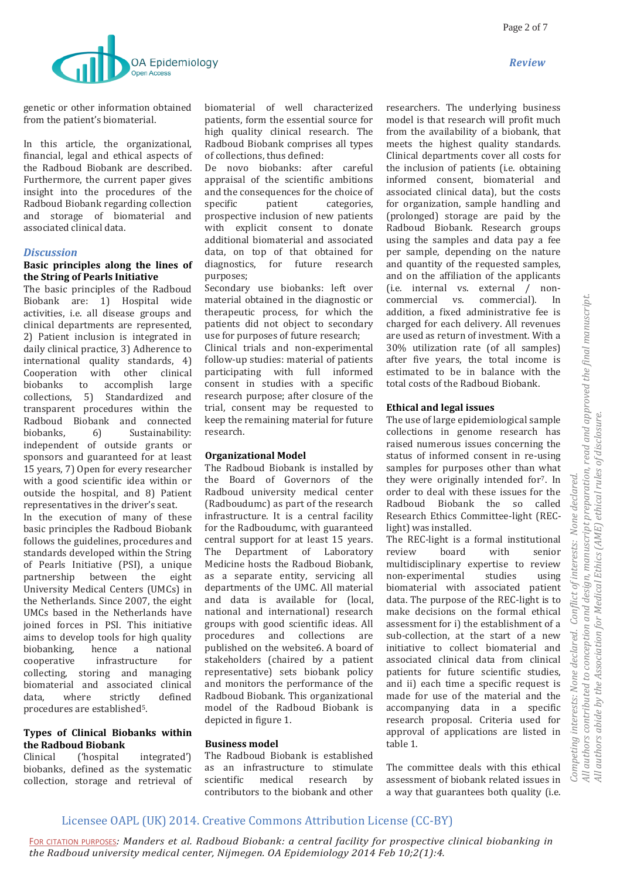

genetic or other information obtained from the patient's biomaterial.

In this article, the organizational, financial, legal and ethical aspects of the Radboud Biobank are described. Furthermore, the current paper gives insight into the procedures of the Radboud Biobank regarding collection and storage of biomaterial and associated clinical data.

#### *Discussion*

# **Basic principles along the lines of the String of Pearls Initiative**

The basic principles of the Radboud Biobank are: 1) Hospital wide activities, i.e. all disease groups and clinical departments are represented, 2) Patient inclusion is integrated in daily clinical practice, 3) Adherence to international quality standards, 4) Cooperation with other clinical biobanks to accomplish large collections, 5) Standardized and transparent procedures within the Radboud Biobank and connected biobanks, 6) Sustainability: independent of outside grants or sponsors and guaranteed for at least 15 years, 7) Open for every researcher with a good scientific idea within or outside the hospital, and 8) Patient representatives in the driver's seat.

In the execution of many of these basic principles the Radboud Biobank follows the guidelines, procedures and standards developed within the String of Pearls Initiative (PSI), a unique partnership between the eight University Medical Centers (UMCs) in the Netherlands. Since 2007, the eight UMCs based in the Netherlands have joined forces in PSI. This initiative aims to develop tools for high quality biobanking, hence a national cooperative infrastructure for collecting, storing and managing biomaterial and associated clinical data, where strictly defined procedures are established5.

# **Types of Clinical Biobanks within the Radboud Biobank**

Clinical ('hospital integrated') biobanks, defined as the systematic collection, storage and retrieval of biomaterial of well characterized patients, form the essential source for high quality clinical research. The Radboud Biobank comprises all types of collections, thus defined:

De novo biobanks: after careful appraisal of the scientific ambitions and the consequences for the choice of specific patient categories, prospective inclusion of new patients with explicit consent to donate additional biomaterial and associated data, on top of that obtained for diagnostics, for future research purposes;

Secondary use biobanks: left over material obtained in the diagnostic or therapeutic process, for which the patients did not object to secondary use for purposes of future research;

Clinical trials and non-experimental follow-up studies: material of patients participating with full informed consent in studies with a specific research purpose; after closure of the trial, consent may be requested to keep the remaining material for future research.

# **Organizational Model**

The Radboud Biobank is installed by the Board of Governors of the Radboud university medical center (Radboudumc) as part of the research infrastructure. It is a central facility for the Radboudumc, with guaranteed central support for at least 15 years. The Department of Laboratory Medicine hosts the Radboud Biobank, as a separate entity, servicing all departments of the UMC. All material and data is available for (local, national and international) research groups with good scientific ideas. All procedures and collections are published on the website6. A board of stakeholders (chaired by a patient representative) sets biobank policy and monitors the performance of the Radboud Biobank. This organizational model of the Radboud Biobank is depicted in figure 1.

#### **Business model**

The Radboud Biobank is established as an infrastructure to stimulate scientific medical research by contributors to the biobank and other researchers. The underlying business model is that research will profit much from the availability of a biobank, that meets the highest quality standards. Clinical departments cover all costs for the inclusion of patients (i.e. obtaining informed consent, biomaterial and associated clinical data), but the costs for organization, sample handling and (prolonged) storage are paid by the Radboud Biobank. Research groups using the samples and data pay a fee per sample, depending on the nature and quantity of the requested samples, and on the affiliation of the applicants (i.e. internal vs. external / noncommercial vs. commercial). In addition, a fixed administrative fee is charged for each delivery. All revenues are used as return of investment. With a 30% utilization rate (of all samples) after five years, the total income is estimated to be in balance with the total costs of the Radboud Biobank.

## **Ethical and legal issues**

The use of large epidemiological sample collections in genome research has raised numerous issues concerning the status of informed consent in re-using samples for purposes other than what they were originally intended for<sup>7</sup>. In order to deal with these issues for the Radboud Biobank the so called Research Ethics Committee-light (REClight) was installed.

The REC-light is a formal institutional review board with senior multidisciplinary expertise to review non-experimental studies using biomaterial with associated patient data. The purpose of the REC-light is to make decisions on the formal ethical assessment for i) the establishment of a sub-collection, at the start of a new initiative to collect biomaterial and associated clinical data from clinical patients for future scientific studies, and ii) each time a specific request is made for use of the material and the accompanying data in a specific research proposal. Criteria used for approval of applications are listed in table 1.

The committee deals with this ethical assessment of biobank related issues in a way that guarantees both quality (i.e.

# Licensee OAPL (UK) 2014. Creative Commons Attribution License (CC-BY)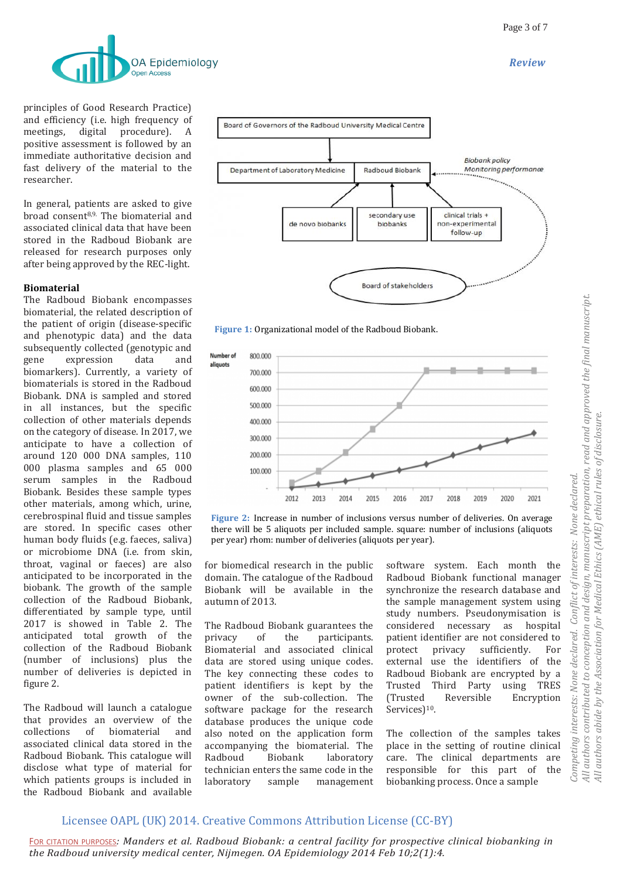

principles of Good Research Practice) and efficiency (i.e. high frequency of meetings, digital procedure). A positive assessment is followed by an immediate authoritative decision and fast delivery of the material to the researcher.

In general, patients are asked to give broad consent8,9. The biomaterial and associated clinical data that have been stored in the Radboud Biobank are released for research purposes only after being approved by the REC-light.

#### **Biomaterial**

The Radboud Biobank encompasses biomaterial, the related description of the patient of origin (disease-specific and phenotypic data) and the data subsequently collected (genotypic and gene expression data and biomarkers). Currently, a variety of biomaterials is stored in the Radboud Biobank. DNA is sampled and stored in all instances, but the specific collection of other materials depends on the category of disease. In 2017, we anticipate to have a collection of around 120 000 DNA samples, 110 000 plasma samples and 65 000 serum samples in the Radboud Biobank. Besides these sample types other materials, among which, urine, cerebrospinal fluid and tissue samples are stored. In specific cases other human body fluids (e.g. faeces, saliva) or microbiome DNA (i.e. from skin, throat, vaginal or faeces) are also anticipated to be incorporated in the biobank. The growth of the sample collection of the Radboud Biobank, differentiated by sample type, until 2017 is showed in Table 2. The anticipated total growth of the collection of the Radboud Biobank (number of inclusions) plus the number of deliveries is depicted in figure 2.

The Radboud will launch a catalogue that provides an overview of the collections of biomaterial and associated clinical data stored in the Radboud Biobank. This catalogue will disclose what type of material for which patients groups is included in the Radboud Biobank and available







**Figure 2:** Increase in number of inclusions versus number of deliveries. On average there will be 5 aliquots per included sample. square: number of inclusions (aliquots per year) rhom: number of deliveries (aliquots per year).

for biomedical research in the public domain. The catalogue of the Radboud Biobank will be available in the autumn of 2013.

The Radboud Biobank guarantees the privacy of the participants. Biomaterial and associated clinical data are stored using unique codes. The key connecting these codes to patient identifiers is kept by the owner of the sub-collection. The software package for the research database produces the unique code also noted on the application form accompanying the biomaterial. The Radboud Biobank laboratory technician enters the same code in the laboratory sample management

software system. Each month the Radboud Biobank functional manager synchronize the research database and the sample management system using study numbers. Pseudonymisation is considered necessary as hospital patient identifier are not considered to protect privacy sufficiently. For external use the identifiers of the Radboud Biobank are encrypted by a Trusted Third Party using TRES (Trusted Reversible Encryption Services)<sup>10</sup>.

*Competing interests: None declared. Conflict of interests: None declared.* 

declared.

None (

Competing interests:

Conflict of interests: None declared.

*All authors abide by the Association for Medical Ethics (AME) ethical rules of disclosure.*

All authors abide by the Association for Medical Ethics (AME) ethical rules of disclosure.

The collection of the samples takes place in the setting of routine clinical care. The clinical departments are responsible for this part of the biobanking process. Once a sample

# Licensee OAPL (UK) 2014. Creative Commons Attribution License (CC-BY)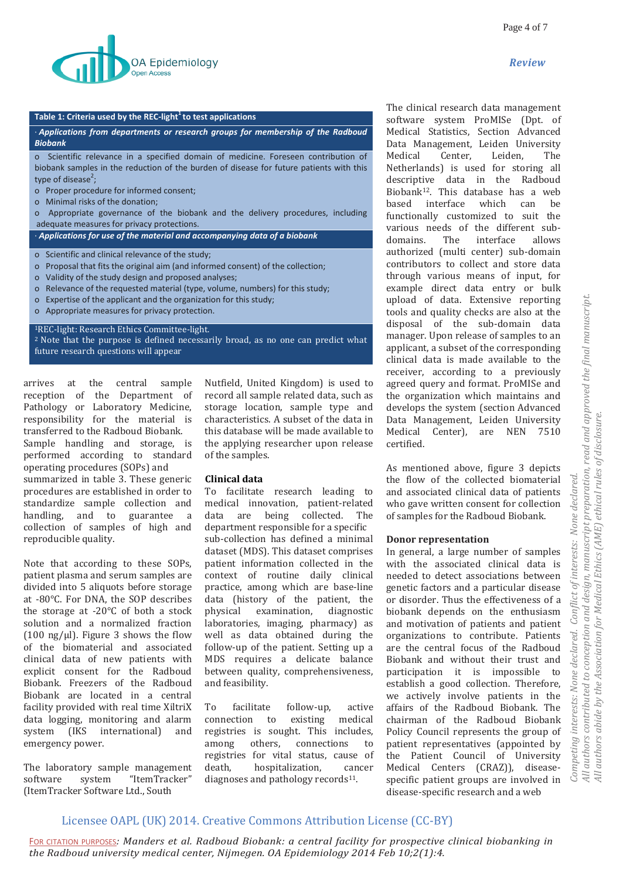

#### **Table 1: Criteria used by the REC-light<sup>1</sup>to test applications**

· *Applications from departments or research groups for membership of the Radboud Biobank*

o Scientific relevance in a specified domain of medicine. Foreseen contribution of biobank samples in the reduction of the burden of disease for future patients with this type of disease<sup>2</sup>;

- o Proper procedure for informed consent;
- o Minimal risks of the donation;
- o Appropriate governance of the biobank and the delivery procedures, including adequate measures for privacy protections.

· *Applications for use of the material and accompanying data of a biobank*

- o Scientific and clinical relevance of the study;
- o Proposal that fits the original aim (and informed consent) of the collection;
- o Validity of the study design and proposed analyses;
- o Relevance of the requested material (type, volume, numbers) for this study;
- o Expertise of the applicant and the organization for this study;
- o Appropriate measures for privacy protection.

#### <sup>1</sup>REC-light: Research Ethics Committee-light.

<sup>2</sup> Note that the purpose is defined necessarily broad, as no one can predict what future research questions will appear

arrives at the central sample reception of the Department of Pathology or Laboratory Medicine, responsibility for the material is transferred to the Radboud Biobank. Sample handling and storage, is performed according to standard operating procedures (SOPs) and summarized in table 3. These generic procedures are established in order to standardize sample collection and handling, and to guarantee a collection of samples of high and reproducible quality.

Note that according to these SOPs, patient plasma and serum samples are divided into 5 aliquots before storage at -80°C. For DNA, the SOP describes the storage at -20°C of both a stock solution and a normalized fraction  $(100 \text{ ng/µ})$ . Figure 3 shows the flow of the biomaterial and associated clinical data of new patients with explicit consent for the Radboud Biobank. Freezers of the Radboud Biobank are located in a central facility provided with real time XiltriX data logging, monitoring and alarm system (IKS international) and emergency power.

The laboratory sample management software system "ItemTracker" (ItemTracker Software Ltd., South

Nutfield, United Kingdom) is used to record all sample related data, such as storage location, sample type and characteristics. A subset of the data in this database will be made available to the applying researcher upon release of the samples.

#### **Clinical data**

To facilitate research leading to medical innovation, patient-related data are being collected. The department responsible for a specific sub-collection has defined a minimal dataset (MDS). This dataset comprises patient information collected in the context of routine daily clinical practice, among which are base-line data (history of the patient, the physical examination, diagnostic laboratories, imaging, pharmacy) as well as data obtained during the follow-up of the patient. Setting up a MDS requires a delicate balance between quality, comprehensiveness, and feasibility.

To facilitate follow-up, active connection to existing medical registries is sought. This includes, among others, connections to registries for vital status, cause of death, hospitalization, cancer diagnoses and pathology records $11$ .

The clinical research data management software system ProMISe (Dpt. of Medical Statistics, Section Advanced Data Management, Leiden University Medical Center, Leiden, The Netherlands) is used for storing all descriptive data in the Radboud Biobank12. This database has a web based interface which can be functionally customized to suit the various needs of the different subdomains. The interface allows authorized (multi center) sub-domain contributors to collect and store data through various means of input, for example direct data entry or bulk upload of data. Extensive reporting tools and quality checks are also at the disposal of the sub-domain data manager. Upon release of samples to an applicant, a subset of the corresponding clinical data is made available to the receiver, according to a previously agreed query and format. ProMISe and the organization which maintains and develops the system (section Advanced Data Management, Leiden University Medical Center), are NEN 7510 certified.

As mentioned above, figure 3 depicts the flow of the collected biomaterial and associated clinical data of patients who gave written consent for collection of samples for the Radboud Biobank.

#### **Donor representation**

In general, a large number of samples with the associated clinical data is needed to detect associations between genetic factors and a particular disease or disorder. Thus the effectiveness of a biobank depends on the enthusiasm and motivation of patients and patient organizations to contribute. Patients are the central focus of the Radboud Biobank and without their trust and participation it is impossible to establish a good collection. Therefore, we actively involve patients in the affairs of the Radboud Biobank. The chairman of the Radboud Biobank Policy Council represents the group of patient representatives (appointed by the Patient Council of University Medical Centers (CRAZ)), diseasespecific patient groups are involved in disease-specific research and a web

# Licensee OAPL (UK) 2014. Creative Commons Attribution License (CC-BY)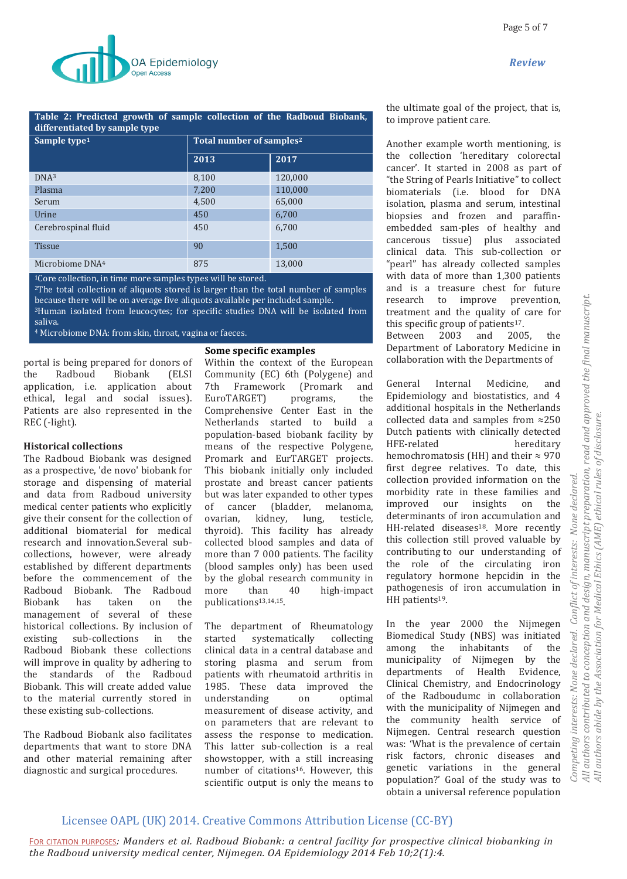

#### **Table 2: Predicted growth of sample collection of the Radboud Biobank, differentiated by sample type**

| Sample type <sup>1</sup>    | Total number of samples <sup>2</sup> |         |
|-----------------------------|--------------------------------------|---------|
|                             | 2013                                 | 2017    |
| DNA <sup>3</sup>            | 8,100                                | 120,000 |
| Plasma                      | 7,200                                | 110,000 |
| Serum                       | 4,500                                | 65,000  |
| Urine                       | 450                                  | 6,700   |
| Cerebrospinal fluid         | 450                                  | 6,700   |
| <b>Tissue</b>               | 90                                   | 1,500   |
| Microbiome DNA <sup>4</sup> | 875                                  | 13,000  |

<sup>1</sup>Core collection, in time more samples types will be stored.

 $2$ The total collection of aliquots stored is larger than the total number of samples because there will be on average five aliquots available per included sample. <sup>3</sup>Human isolated from leucocytes; for specific studies DNA will be isolated from saliva.

<sup>4</sup> Microbiome DNA: from skin, throat, vagina or faeces.

## portal is being prepared for donors of the Radboud Biobank (ELSI application, i.e. application about ethical, legal and social issues). Patients are also represented in the REC (-light).

## **Historical collections**

The Radboud Biobank was designed as a prospective, 'de novo' biobank for storage and dispensing of material and data from Radboud university medical center patients who explicitly give their consent for the collection of additional biomaterial for medical research and innovation.Several subcollections, however, were already established by different departments before the commencement of the Radboud Biobank. The Radboud Biobank has taken on the management of several of these historical collections. By inclusion of existing sub-collections in the Radboud Biobank these collections will improve in quality by adhering to the standards of the Radboud Biobank. This will create added value to the material currently stored in these existing sub-collections.

The Radboud Biobank also facilitates departments that want to store DNA and other material remaining after diagnostic and surgical procedures.

## **Some specific examples**

Within the context of the European Community (EC) 6th (Polygene) and 7th Framework (Promark and EuroTARGET) programs, the Comprehensive Center East in the Netherlands started to build a population-based biobank facility by means of the respective Polygene, Promark and EurTARGET projects. This biobank initially only included prostate and breast cancer patients but was later expanded to other types of cancer (bladder, melanoma, ovarian, kidney, lung, testicle, thyroid). This facility has already collected blood samples and data of more than 7 000 patients. The facility (blood samples only) has been used by the global research community in more than 40 high-impact publications<sup>13,14,15</sup>.

The department of Rheumatology started systematically collecting clinical data in a central database and storing plasma and serum from patients with rheumatoid arthritis in 1985. These data improved the understanding on optimal measurement of disease activity, and on parameters that are relevant to assess the response to medication. This latter sub-collection is a real showstopper, with a still increasing number of citations<sup>16</sup>. However, this scientific output is only the means to

the ultimate goal of the project, that is, to improve patient care.

Another example worth mentioning, is the collection 'hereditary colorectal cancer'. It started in 2008 as part of "the String of Pearls Initiative" to collect biomaterials (i.e. blood for DNA isolation, plasma and serum, intestinal biopsies and frozen and paraffinembedded sam-ples of healthy and cancerous tissue) plus associated clinical data. This sub-collection or "pearl" has already collected samples with data of more than 1,300 patients and is a treasure chest for future research to improve prevention, treatment and the quality of care for this specific group of patients $17$ .

Between 2003 and 2005, the Department of Laboratory Medicine in collaboration with the Departments of

General Internal Medicine, and Epidemiology and biostatistics, and 4 additional hospitals in the Netherlands collected data and samples from ≈250 Dutch patients with clinically detected HFE-related hereditary hemochromatosis (HH) and their  $\approx$  970 first degree relatives. To date, this collection provided information on the morbidity rate in these families and improved our insights on the determinants of iron accumulation and HH-related diseases<sup>18</sup>. More recently this collection still proved valuable by contributing to our understanding of the role of the circulating iron regulatory hormone hepcidin in the pathogenesis of iron accumulation in HH patients<sup>19</sup>.

In the year 2000 the Nijmegen Biomedical Study (NBS) was initiated among the inhabitants of the municipality of Nijmegen by the departments of Health Evidence, Clinical Chemistry, and Endocrinology of the Radboudumc in collaboration with the municipality of Nijmegen and the community health service of Nijmegen. Central research question was: 'What is the prevalence of certain risk factors, chronic diseases and genetic variations in the general population?' Goal of the study was to obtain a universal reference population

# Licensee OAPL (UK) 2014. Creative Commons Attribution License (CC-BY)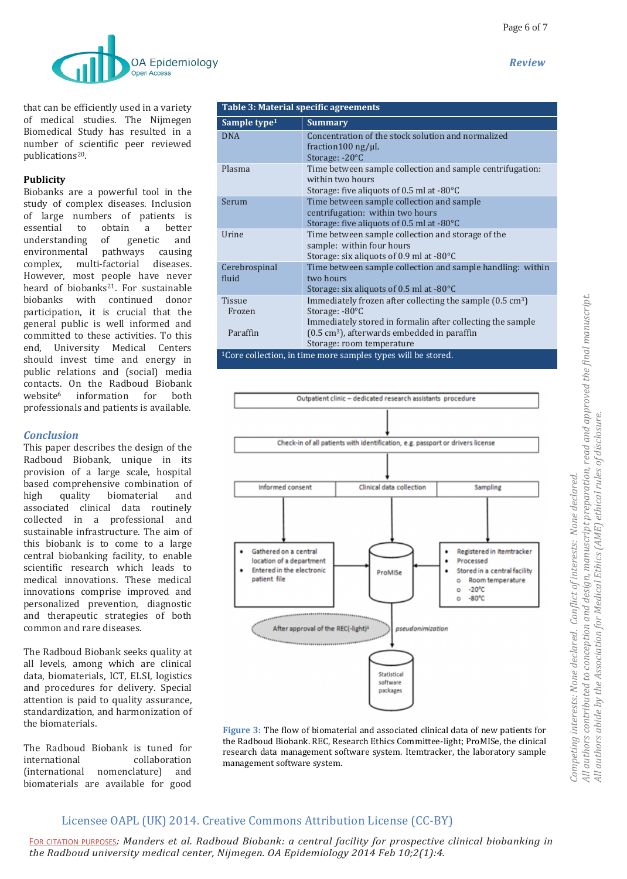

that can be efficiently used in a variety of medical studies. The Nijmegen Biomedical Study has resulted in a number of scientific peer reviewed publications<sup>20</sup>.

## **Publicity**

Biobanks are a powerful tool in the study of complex diseases. Inclusion of large numbers of patients is essential to obtain a better understanding of genetic and environmental pathways causing complex, multi-factorial diseases. However, most people have never heard of biobanks<sup>21</sup>. For sustainable biobanks with continued donor participation, it is crucial that the general public is well informed and committed to these activities. To this end, University Medical Centers should invest time and energy in public relations and (social) media contacts. On the Radboud Biobank website<sup>6</sup> information for both professionals and patients is available.

# *Conclusion*

This paper describes the design of the Radboud Biobank, unique in its provision of a large scale, hospital based comprehensive combination of high quality biomaterial and associated clinical data routinely collected in a professional and sustainable infrastructure. The aim of this biobank is to come to a large central biobanking facility, to enable scientific research which leads to medical innovations. These medical innovations comprise improved and personalized prevention, diagnostic and therapeutic strategies of both common and rare diseases.

The Radboud Biobank seeks quality at all levels, among which are clinical data, biomaterials, ICT, ELSI, logistics and procedures for delivery. Special attention is paid to quality assurance, standardization, and harmonization of the biomaterials.

The Radboud Biobank is tuned for international collaboration (international nomenclature) and biomaterials are available for good

| Table 3: Material specific agreements                                    |                                                                                                                                                   |  |
|--------------------------------------------------------------------------|---------------------------------------------------------------------------------------------------------------------------------------------------|--|
| Sample type <sup>1</sup>                                                 | <b>Summary</b>                                                                                                                                    |  |
| <b>DNA</b>                                                               | Concentration of the stock solution and normalized<br>fraction 100 ng/ $\mu$ L<br>Storage: -20°C                                                  |  |
| Plasma                                                                   | Time between sample collection and sample centrifugation:<br>within two hours<br>Storage: five aliquots of 0.5 ml at -80°C                        |  |
| Serum                                                                    | Time between sample collection and sample<br>centrifugation: within two hours<br>Storage: five aliquots of 0.5 ml at $-80^{\circ}$ C              |  |
| Urine                                                                    | Time between sample collection and storage of the<br>sample: within four hours<br>Storage: six aliquots of 0.9 ml at $-80^{\circ}$ C              |  |
| Cerebrospinal<br>fluid                                                   | Time between sample collection and sample handling: within<br>two hours<br>Storage: six aliquots of 0.5 ml at $-80^{\circ}$ C                     |  |
| <b>Tissue</b><br>Frozen                                                  | Immediately frozen after collecting the sample $(0.5 \text{ cm}^3)$<br>Storage: $-80^{\circ}$ C                                                   |  |
| Paraffin                                                                 | Immediately stored in formalin after collecting the sample<br>$(0.5 \text{ cm}^3)$ , afterwards embedded in paraffin<br>Storage: room temperature |  |
| <sup>1</sup> Core collection, in time more samples types will be stored. |                                                                                                                                                   |  |



**Figure 3:** The flow of biomaterial and associated clinical data of new patients for the Radboud Biobank. REC, Research Ethics Committee-light; ProMISe, the clinical research data management software system. Itemtracker, the laboratory sample management software system.

# Licensee OAPL (UK) 2014. Creative Commons Attribution License (CC-BY)